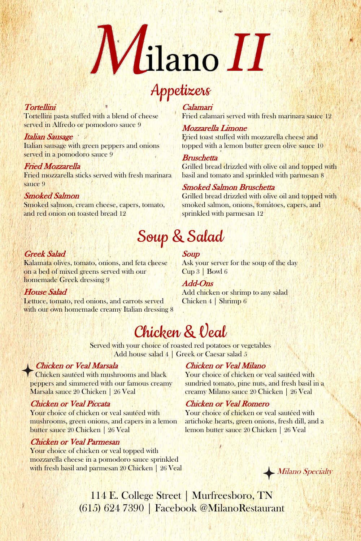Served with your choice of roasted red potatoes or vegetables Add house salad 4 | Greek or Caesar salad 5

Tortellini pasta stuffed with a blend of cheese served in Alfredo or pomodoro sauce 9

# Italian Sausage

Italian sausage with green peppers and onions served in a pomodoro sauce 9

# Fried Mozzarella

Fried mozzarella sticks served with fresh marinara sauce 9

# Smoked Salmon

Smoked salmon, cream cheese, capers, tomato, and red onion on toasted bread 12

# Wilano<sup>II</sup>

Calamari

**Bruschetta** 

Fried calamari served with fresh marinara sauce 12

Lettuce, tomato, red onions, and carrots served with our own homemade creamy Italian dressing 8 Mozzarella Limone

Fried toast stuffed with mozzarella cheese and

Ask your server for the soup of the day Cup 3 | Bowl 6

topped with a lemon butter green olive sauce 10

Grilled bread drizzled with olive oil and topped with

basil and tomato and sprinkled with parmesan 8

Smoked Salmon Bruschetta

Your choice of chicken or veal sautéed with mushrooms, green onions, and capers in a lemon butter sauce 20 Chicken | 26 Veal

Grilled bread drizzled with olive oil and topped with

smoked salmon, onions, tomatoes, capers, and

Your choice of chicken or veal topped with mozzarella cheese in a pomodoro sauce sprinkled with fresh basil and parmesan 20 Chicken | 26 Veal

sprinkled with parmesan 12

# **Tortellini**



# Soup & Salad

# Greek Salad

Kalamata olives, tomato, onions, and feta cheese on a bed of mixed greens served with our homemade Greek dressing 9

> Your choice of chicken or veal sautéed with artichoke hearts, green onions, fresh dill, and a lemon butter sauce 20 Chicken | 26 Veal

# House Salad

# Soup

Add-Ons Add chicken or shrimp to any salad Chicken 4 | Shrimp 6

# Chicken & Veal

# Chicken or Veal Marsala

peppers and simmered with our famous creamy Marsala sauce 20 Chicken | 26 Veal

# Chicken or Veal Piccata

Chicken sautéed with mushrooms and black Your choice of chicken or veal sautéed with

## Chicken or Veal Parmesan

# Chicken or Veal Milano

sundried tomato, pine nuts, and fresh basil in a creamy Milano sauce 20 Chicken | 26 Veal

# Chicken or Veal Romero

114 E. College Street | Murfreesboro, TN (615) 624 7390 | Facebook @MilanoRestaurant